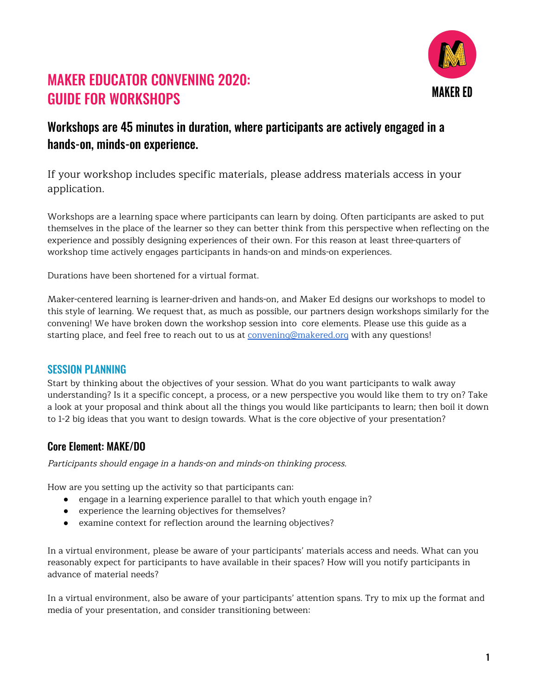

# MAKER EDUCATOR CONVENING 2020: GUIDE FOR WORKSHOPS

## Workshops are 45 minutes in duration, where participants are actively engaged in a hands-on, minds-on experience.

If your workshop includes specific materials, please address materials access in your application.

Workshops are a learning space where participants can learn by doing. Often participants are asked to put themselves in the place of the learner so they can better think from this perspective when reflecting on the experience and possibly designing experiences of their own. For this reason at least three-quarters of workshop time actively engages participants in hands-on and minds-on experiences.

Durations have been shortened for a virtual format.

Maker-centered learning is learner-driven and hands-on, and Maker Ed designs our workshops to model to this style of learning. We request that, as much as possible, our partners design workshops similarly for the convening! We have broken down the workshop session into core elements. Please use this guide as a starting place, and feel free to reach out to us at [convening@makered.org](mailto:convening@makered.org) with any questions!

#### SESSION PLANNING

Start by thinking about the objectives of your session. What do you want participants to walk away understanding? Is it a specific concept, a process, or a new perspective you would like them to try on? Take a look at your proposal and think about all the things you would like participants to learn; then boil it down to 1-2 big ideas that you want to design towards. What is the core objective of your presentation?

#### Core Element: MAKE/DO

Participants should engage in <sup>a</sup> hands-on and minds-on thinking process.

How are you setting up the activity so that participants can:

- engage in a learning experience parallel to that which youth engage in?
- experience the learning objectives for themselves?
- examine context for reflection around the learning objectives?

In a virtual environment, please be aware of your participants' materials access and needs. What can you reasonably expect for participants to have available in their spaces? How will you notify participants in advance of material needs?

In a virtual environment, also be aware of your participants' attention spans. Try to mix up the format and media of your presentation, and consider transitioning between: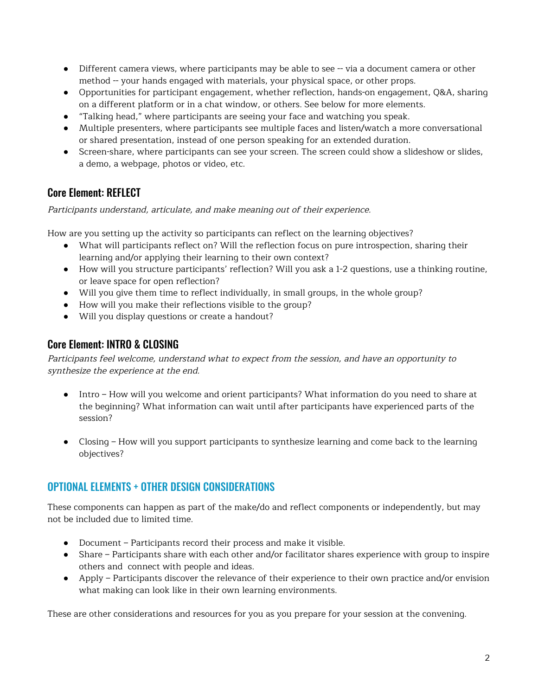- Different camera views, where participants may be able to see -- via a document camera or other method -- your hands engaged with materials, your physical space, or other props.
- Opportunities for participant engagement, whether reflection, hands-on engagement, Q&A, sharing on a different platform or in a chat window, or others. See below for more elements.
- "Talking head," where participants are seeing your face and watching you speak.
- Multiple presenters, where participants see multiple faces and listen/watch a more conversational or shared presentation, instead of one person speaking for an extended duration.
- Screen-share, where participants can see your screen. The screen could show a slideshow or slides, a demo, a webpage, photos or video, etc.

#### Core Element: REFLECT

Participants understand, articulate, and make meaning out of their experience.

How are you setting up the activity so participants can reflect on the learning objectives?

- What will participants reflect on? Will the reflection focus on pure introspection, sharing their learning and/or applying their learning to their own context?
- How will you structure participants' reflection? Will you ask a 1-2 questions, use a thinking routine, or leave space for open reflection?
- Will you give them time to reflect individually, in small groups, in the whole group?
- How will you make their reflections visible to the group?
- Will you display questions or create a handout?

#### Core Element: INTRO & CLOSING

Participants feel welcome, understand what to expect from the session, and have an opportunity to synthesize the experience at the end.

- Intro How will you welcome and orient participants? What information do you need to share at the beginning? What information can wait until after participants have experienced parts of the session?
- Closing How will you support participants to synthesize learning and come back to the learning objectives?

### OPTIONAL ELEMENTS + OTHER DESIGN CONSIDERATIONS

These components can happen as part of the make/do and reflect components or independently, but may not be included due to limited time.

- Document Participants record their process and make it visible.
- Share Participants share with each other and/or facilitator shares experience with group to inspire others and connect with people and ideas.
- Apply Participants discover the relevance of their experience to their own practice and/or envision what making can look like in their own learning environments.

These are other considerations and resources for you as you prepare for your session at the convening.